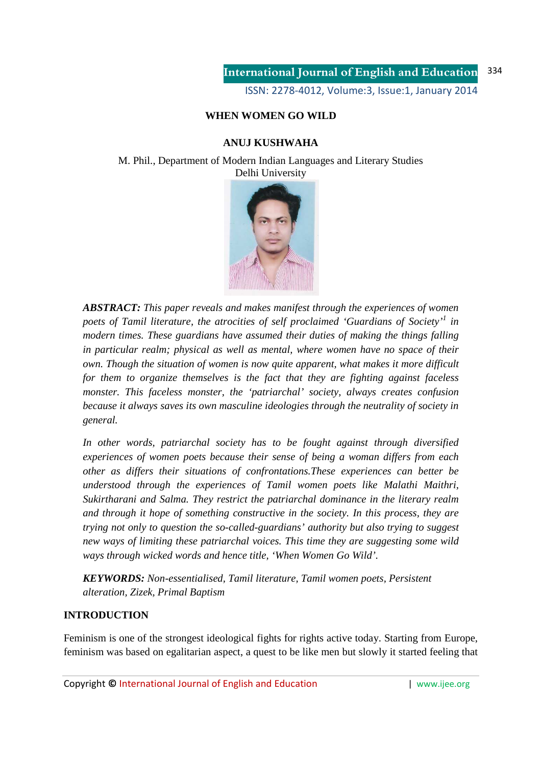ISSN: 2278-4012, Volume:3, Issue:1, January 2014

# **WHEN WOMEN GO WILD**

## **ANUJ KUSHWAHA**

M. Phil., Department of Modern Indian Languages and Literary Studies Delhi University



*ABSTRACT: This paper reveals and makes manifest through the experiences of women poets of Tamil literature, the atrocities of self proclaimed 'Guardians of Society'<sup>1</sup> in modern times. These guardians have assumed their duties of making the things falling in particular realm; physical as well as mental, where women have no space of their own. Though the situation of women is now quite apparent, what makes it more difficult for them to organize themselves is the fact that they are fighting against faceless monster. This faceless monster, the 'patriarchal' society, always creates confusion because it always saves its own masculine ideologies through the neutrality of society in general.* 

*In other words, patriarchal society has to be fought against through diversified experiences of women poets because their sense of being a woman differs from each other as differs their situations of confrontations.These experiences can better be understood through the experiences of Tamil women poets like Malathi Maithri, Sukirtharani and Salma. They restrict the patriarchal dominance in the literary realm and through it hope of something constructive in the society. In this process, they are trying not only to question the so-called-guardians' authority but also trying to suggest new ways of limiting these patriarchal voices. This time they are suggesting some wild ways through wicked words and hence title, 'When Women Go Wild'.* 

*KEYWORDS: Non-essentialised, Tamil literature, Tamil women poets, Persistent alteration, Zizek, Primal Baptism* 

## **INTRODUCTION**

Feminism is one of the strongest ideological fights for rights active today. Starting from Europe, feminism was based on egalitarian aspect, a quest to be like men but slowly it started feeling that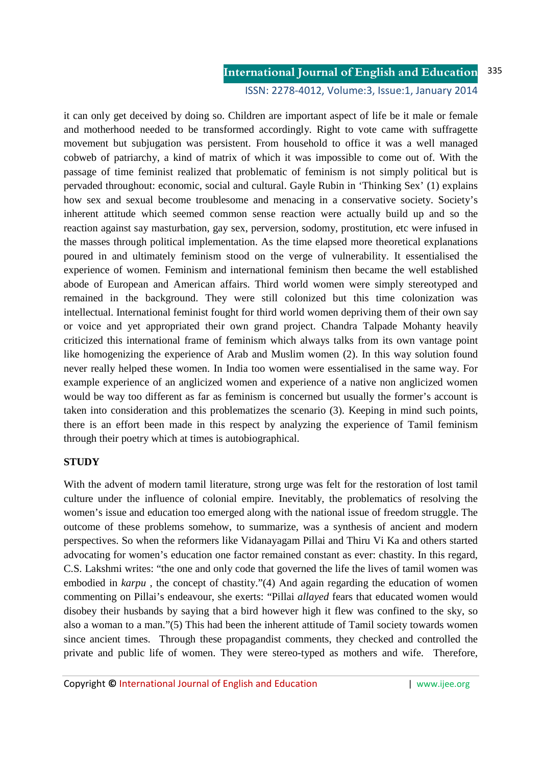### **International Journal of English and Education** 335

ISSN: 2278-4012, Volume:3, Issue:1, January 2014

it can only get deceived by doing so. Children are important aspect of life be it male or female and motherhood needed to be transformed accordingly. Right to vote came with suffragette movement but subjugation was persistent. From household to office it was a well managed cobweb of patriarchy, a kind of matrix of which it was impossible to come out of. With the passage of time feminist realized that problematic of feminism is not simply political but is pervaded throughout: economic, social and cultural. Gayle Rubin in 'Thinking Sex' (1) explains how sex and sexual become troublesome and menacing in a conservative society. Society's inherent attitude which seemed common sense reaction were actually build up and so the reaction against say masturbation, gay sex, perversion, sodomy, prostitution, etc were infused in the masses through political implementation. As the time elapsed more theoretical explanations poured in and ultimately feminism stood on the verge of vulnerability. It essentialised the experience of women. Feminism and international feminism then became the well established abode of European and American affairs. Third world women were simply stereotyped and remained in the background. They were still colonized but this time colonization was intellectual. International feminist fought for third world women depriving them of their own say or voice and yet appropriated their own grand project. Chandra Talpade Mohanty heavily criticized this international frame of feminism which always talks from its own vantage point like homogenizing the experience of Arab and Muslim women (2). In this way solution found never really helped these women. In India too women were essentialised in the same way. For example experience of an anglicized women and experience of a native non anglicized women would be way too different as far as feminism is concerned but usually the former's account is taken into consideration and this problematizes the scenario (3). Keeping in mind such points, there is an effort been made in this respect by analyzing the experience of Tamil feminism through their poetry which at times is autobiographical.

## **STUDY**

With the advent of modern tamil literature, strong urge was felt for the restoration of lost tamil culture under the influence of colonial empire. Inevitably, the problematics of resolving the women's issue and education too emerged along with the national issue of freedom struggle. The outcome of these problems somehow, to summarize, was a synthesis of ancient and modern perspectives. So when the reformers like Vidanayagam Pillai and Thiru Vi Ka and others started advocating for women's education one factor remained constant as ever: chastity. In this regard, C.S. Lakshmi writes: "the one and only code that governed the life the lives of tamil women was embodied in *karpu*, the concept of chastity."(4) And again regarding the education of women commenting on Pillai's endeavour, she exerts: "Pillai *allayed* fears that educated women would disobey their husbands by saying that a bird however high it flew was confined to the sky, so also a woman to a man."(5) This had been the inherent attitude of Tamil society towards women since ancient times. Through these propagandist comments, they checked and controlled the private and public life of women. They were stereo-typed as mothers and wife. Therefore,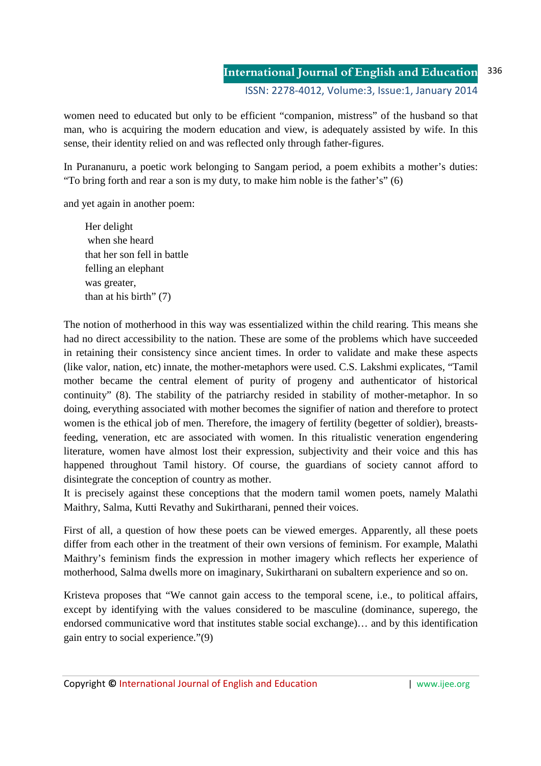women need to educated but only to be efficient "companion, mistress" of the husband so that man, who is acquiring the modern education and view, is adequately assisted by wife. In this sense, their identity relied on and was reflected only through father-figures.

In Purananuru, a poetic work belonging to Sangam period, a poem exhibits a mother's duties: "To bring forth and rear a son is my duty, to make him noble is the father's" (6)

and yet again in another poem:

 Her delight when she heard that her son fell in battle felling an elephant was greater, than at his birth" (7)

The notion of motherhood in this way was essentialized within the child rearing. This means she had no direct accessibility to the nation. These are some of the problems which have succeeded in retaining their consistency since ancient times. In order to validate and make these aspects (like valor, nation, etc) innate, the mother-metaphors were used. C.S. Lakshmi explicates, "Tamil mother became the central element of purity of progeny and authenticator of historical continuity" (8). The stability of the patriarchy resided in stability of mother-metaphor. In so doing, everything associated with mother becomes the signifier of nation and therefore to protect women is the ethical job of men. Therefore, the imagery of fertility (begetter of soldier), breastsfeeding, veneration, etc are associated with women. In this ritualistic veneration engendering literature, women have almost lost their expression, subjectivity and their voice and this has happened throughout Tamil history. Of course, the guardians of society cannot afford to disintegrate the conception of country as mother.

It is precisely against these conceptions that the modern tamil women poets, namely Malathi Maithry, Salma, Kutti Revathy and Sukirtharani, penned their voices.

First of all, a question of how these poets can be viewed emerges. Apparently, all these poets differ from each other in the treatment of their own versions of feminism. For example, Malathi Maithry's feminism finds the expression in mother imagery which reflects her experience of motherhood, Salma dwells more on imaginary, Sukirtharani on subaltern experience and so on.

Kristeva proposes that "We cannot gain access to the temporal scene, i.e., to political affairs, except by identifying with the values considered to be masculine (dominance, superego, the endorsed communicative word that institutes stable social exchange)… and by this identification gain entry to social experience."(9)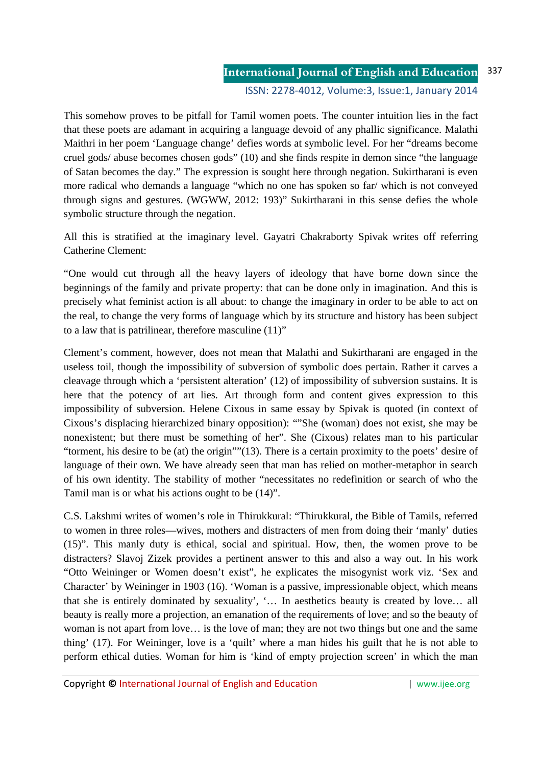This somehow proves to be pitfall for Tamil women poets. The counter intuition lies in the fact that these poets are adamant in acquiring a language devoid of any phallic significance. Malathi Maithri in her poem 'Language change' defies words at symbolic level. For her "dreams become cruel gods/ abuse becomes chosen gods" (10) and she finds respite in demon since "the language of Satan becomes the day." The expression is sought here through negation. Sukirtharani is even more radical who demands a language "which no one has spoken so far/ which is not conveyed through signs and gestures. (WGWW, 2012: 193)" Sukirtharani in this sense defies the whole symbolic structure through the negation.

All this is stratified at the imaginary level. Gayatri Chakraborty Spivak writes off referring Catherine Clement:

"One would cut through all the heavy layers of ideology that have borne down since the beginnings of the family and private property: that can be done only in imagination. And this is precisely what feminist action is all about: to change the imaginary in order to be able to act on the real, to change the very forms of language which by its structure and history has been subject to a law that is patrilinear, therefore masculine (11)"

Clement's comment, however, does not mean that Malathi and Sukirtharani are engaged in the useless toil, though the impossibility of subversion of symbolic does pertain. Rather it carves a cleavage through which a 'persistent alteration' (12) of impossibility of subversion sustains. It is here that the potency of art lies. Art through form and content gives expression to this impossibility of subversion. Helene Cixous in same essay by Spivak is quoted (in context of Cixous's displacing hierarchized binary opposition): ""She (woman) does not exist, she may be nonexistent; but there must be something of her". She (Cixous) relates man to his particular "torment, his desire to be (at) the origin""(13). There is a certain proximity to the poets' desire of language of their own. We have already seen that man has relied on mother-metaphor in search of his own identity. The stability of mother "necessitates no redefinition or search of who the Tamil man is or what his actions ought to be (14)".

C.S. Lakshmi writes of women's role in Thirukkural: "Thirukkural, the Bible of Tamils, referred to women in three roles—wives, mothers and distracters of men from doing their 'manly' duties (15)". This manly duty is ethical, social and spiritual. How, then, the women prove to be distracters? Slavoj Zizek provides a pertinent answer to this and also a way out. In his work "Otto Weininger or Women doesn't exist", he explicates the misogynist work viz. 'Sex and Character' by Weininger in 1903 (16). 'Woman is a passive, impressionable object, which means that she is entirely dominated by sexuality', '… In aesthetics beauty is created by love… all beauty is really more a projection, an emanation of the requirements of love; and so the beauty of woman is not apart from love… is the love of man; they are not two things but one and the same thing' (17). For Weininger, love is a 'quilt' where a man hides his guilt that he is not able to perform ethical duties. Woman for him is 'kind of empty projection screen' in which the man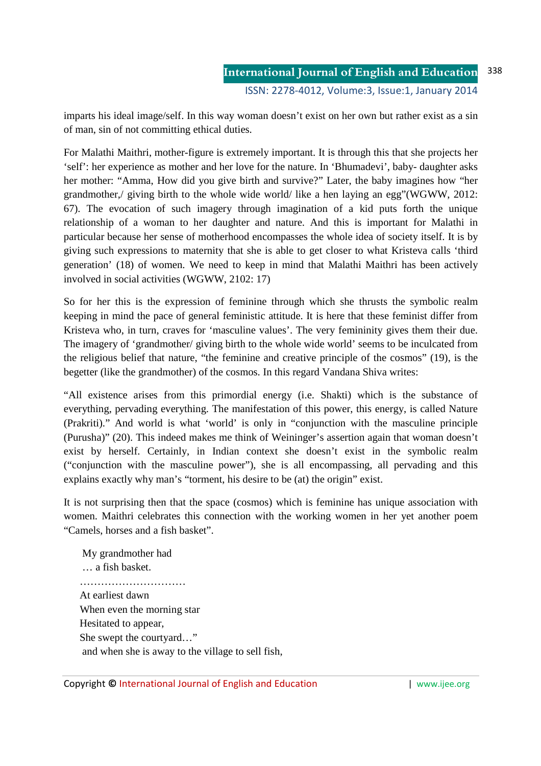imparts his ideal image/self. In this way woman doesn't exist on her own but rather exist as a sin of man, sin of not committing ethical duties.

For Malathi Maithri, mother-figure is extremely important. It is through this that she projects her 'self': her experience as mother and her love for the nature. In 'Bhumadevi', baby- daughter asks her mother: "Amma, How did you give birth and survive?" Later, the baby imagines how "her grandmother,/ giving birth to the whole wide world/ like a hen laying an egg"(WGWW, 2012: 67). The evocation of such imagery through imagination of a kid puts forth the unique relationship of a woman to her daughter and nature. And this is important for Malathi in particular because her sense of motherhood encompasses the whole idea of society itself. It is by giving such expressions to maternity that she is able to get closer to what Kristeva calls 'third generation' (18) of women. We need to keep in mind that Malathi Maithri has been actively involved in social activities (WGWW, 2102: 17)

So for her this is the expression of feminine through which she thrusts the symbolic realm keeping in mind the pace of general feministic attitude. It is here that these feminist differ from Kristeva who, in turn, craves for 'masculine values'. The very femininity gives them their due. The imagery of 'grandmother/ giving birth to the whole wide world' seems to be inculcated from the religious belief that nature, "the feminine and creative principle of the cosmos" (19), is the begetter (like the grandmother) of the cosmos. In this regard Vandana Shiva writes:

"All existence arises from this primordial energy (i.e. Shakti) which is the substance of everything, pervading everything. The manifestation of this power, this energy, is called Nature (Prakriti)." And world is what 'world' is only in "conjunction with the masculine principle (Purusha)" (20). This indeed makes me think of Weininger's assertion again that woman doesn't exist by herself. Certainly, in Indian context she doesn't exist in the symbolic realm ("conjunction with the masculine power"), she is all encompassing, all pervading and this explains exactly why man's "torment, his desire to be (at) the origin" exist.

It is not surprising then that the space (cosmos) which is feminine has unique association with women. Maithri celebrates this connection with the working women in her yet another poem "Camels, horses and a fish basket".

 My grandmother had … a fish basket. ………………………… At earliest dawn When even the morning star Hesitated to appear, She swept the courtyard…" and when she is away to the village to sell fish,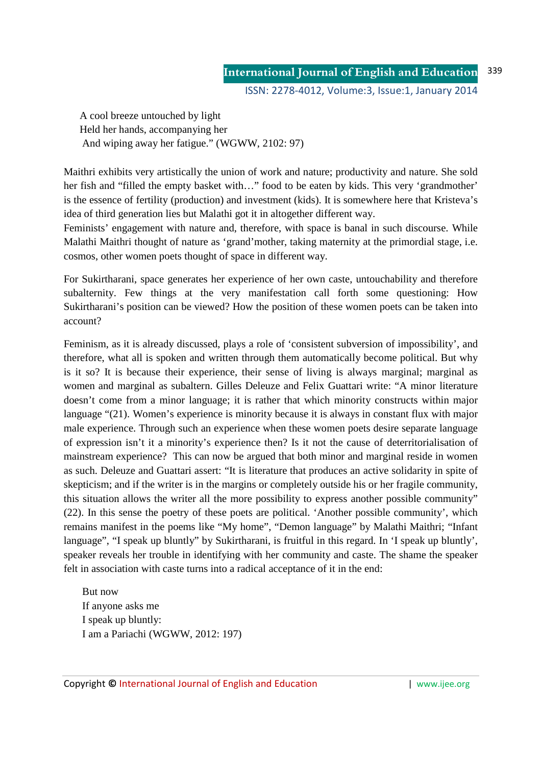A cool breeze untouched by light Held her hands, accompanying her And wiping away her fatigue." (WGWW, 2102: 97)

Maithri exhibits very artistically the union of work and nature; productivity and nature. She sold her fish and "filled the empty basket with…" food to be eaten by kids. This very 'grandmother' is the essence of fertility (production) and investment (kids). It is somewhere here that Kristeva's idea of third generation lies but Malathi got it in altogether different way.

Feminists' engagement with nature and, therefore, with space is banal in such discourse. While Malathi Maithri thought of nature as 'grand'mother, taking maternity at the primordial stage, i.e. cosmos, other women poets thought of space in different way.

For Sukirtharani, space generates her experience of her own caste, untouchability and therefore subalternity. Few things at the very manifestation call forth some questioning: How Sukirtharani's position can be viewed? How the position of these women poets can be taken into account?

Feminism, as it is already discussed, plays a role of 'consistent subversion of impossibility', and therefore, what all is spoken and written through them automatically become political. But why is it so? It is because their experience, their sense of living is always marginal; marginal as women and marginal as subaltern. Gilles Deleuze and Felix Guattari write: "A minor literature doesn't come from a minor language; it is rather that which minority constructs within major language "(21). Women's experience is minority because it is always in constant flux with major male experience. Through such an experience when these women poets desire separate language of expression isn't it a minority's experience then? Is it not the cause of deterritorialisation of mainstream experience? This can now be argued that both minor and marginal reside in women as such. Deleuze and Guattari assert: "It is literature that produces an active solidarity in spite of skepticism; and if the writer is in the margins or completely outside his or her fragile community, this situation allows the writer all the more possibility to express another possible community" (22). In this sense the poetry of these poets are political. 'Another possible community', which remains manifest in the poems like "My home", "Demon language" by Malathi Maithri; "Infant language", "I speak up bluntly" by Sukirtharani, is fruitful in this regard. In 'I speak up bluntly', speaker reveals her trouble in identifying with her community and caste. The shame the speaker felt in association with caste turns into a radical acceptance of it in the end:

 But now If anyone asks me I speak up bluntly: I am a Pariachi (WGWW, 2012: 197)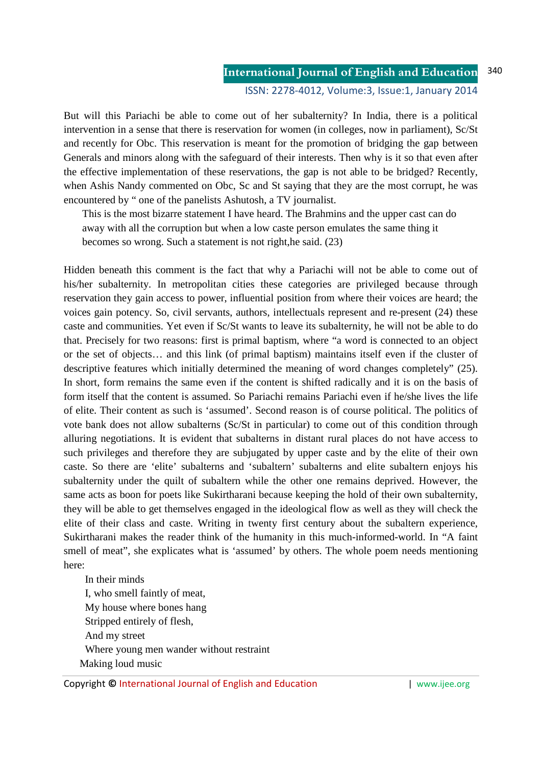But will this Pariachi be able to come out of her subalternity? In India, there is a political intervention in a sense that there is reservation for women (in colleges, now in parliament), Sc/St and recently for Obc. This reservation is meant for the promotion of bridging the gap between Generals and minors along with the safeguard of their interests. Then why is it so that even after the effective implementation of these reservations, the gap is not able to be bridged? Recently, when Ashis Nandy commented on Obc, Sc and St saying that they are the most corrupt, he was encountered by " one of the panelists Ashutosh, a TV journalist.

 This is the most bizarre statement I have heard. The Brahmins and the upper cast can do away with all the corruption but when a low caste person emulates the same thing it becomes so wrong. Such a statement is not right,he said. (23)

Hidden beneath this comment is the fact that why a Pariachi will not be able to come out of his/her subalternity. In metropolitan cities these categories are privileged because through reservation they gain access to power, influential position from where their voices are heard; the voices gain potency. So, civil servants, authors, intellectuals represent and re-present (24) these caste and communities. Yet even if Sc/St wants to leave its subalternity, he will not be able to do that. Precisely for two reasons: first is primal baptism, where "a word is connected to an object or the set of objects… and this link (of primal baptism) maintains itself even if the cluster of descriptive features which initially determined the meaning of word changes completely" (25). In short, form remains the same even if the content is shifted radically and it is on the basis of form itself that the content is assumed. So Pariachi remains Pariachi even if he/she lives the life of elite. Their content as such is 'assumed'. Second reason is of course political. The politics of vote bank does not allow subalterns (Sc/St in particular) to come out of this condition through alluring negotiations. It is evident that subalterns in distant rural places do not have access to such privileges and therefore they are subjugated by upper caste and by the elite of their own caste. So there are 'elite' subalterns and 'subaltern' subalterns and elite subaltern enjoys his subalternity under the quilt of subaltern while the other one remains deprived. However, the same acts as boon for poets like Sukirtharani because keeping the hold of their own subalternity, they will be able to get themselves engaged in the ideological flow as well as they will check the elite of their class and caste. Writing in twenty first century about the subaltern experience, Sukirtharani makes the reader think of the humanity in this much-informed-world. In "A faint smell of meat", she explicates what is 'assumed' by others. The whole poem needs mentioning here:

 In their minds I, who smell faintly of meat, My house where bones hang Stripped entirely of flesh, And my street Where young men wander without restraint Making loud music

Copyright © International Journal of English and Education | www.ijee.org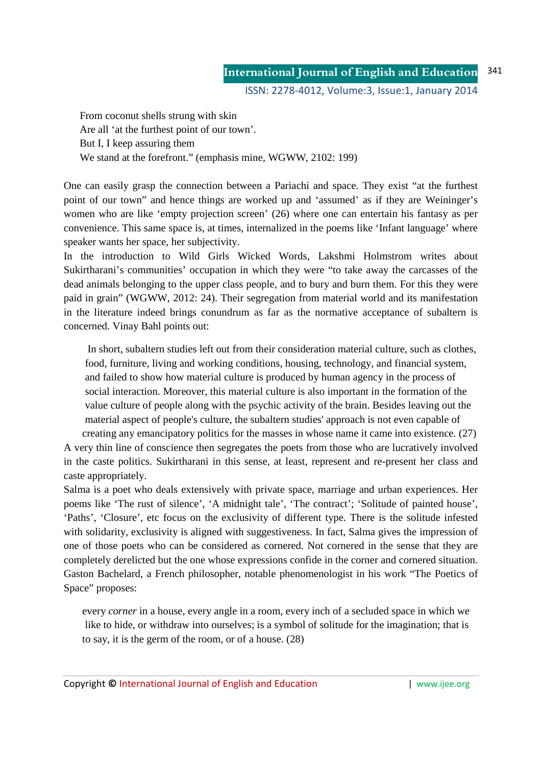From coconut shells strung with skin Are all 'at the furthest point of our town'. But I, I keep assuring them We stand at the forefront." (emphasis mine, WGWW, 2102: 199)

One can easily grasp the connection between a Pariachi and space. They exist "at the furthest point of our town" and hence things are worked up and 'assumed' as if they are Weininger's women who are like 'empty projection screen' (26) where one can entertain his fantasy as per convenience. This same space is, at times, internalized in the poems like 'Infant language' where speaker wants her space, her subjectivity.

In the introduction to Wild Girls Wicked Words, Lakshmi Holmstrom writes about Sukirtharani's communities' occupation in which they were "to take away the carcasses of the dead animals belonging to the upper class people, and to bury and burn them. For this they were paid in grain" (WGWW, 2012: 24). Their segregation from material world and its manifestation in the literature indeed brings conundrum as far as the normative acceptance of subaltern is concerned. Vinay Bahl points out:

 In short, subaltern studies left out from their consideration material culture, such as clothes, food, furniture, living and working conditions, housing, technology, and financial system, and failed to show how material culture is produced by human agency in the process of social interaction. Moreover, this material culture is also important in the formation of the value culture of people along with the psychic activity of the brain. Besides leaving out the material aspect of people's culture, the subaltern studies' approach is not even capable of

 creating any emancipatory politics for the masses in whose name it came into existence. (27) A very thin line of conscience then segregates the poets from those who are lucratively involved in the caste politics. Sukirtharani in this sense, at least, represent and re-present her class and caste appropriately.

Salma is a poet who deals extensively with private space, marriage and urban experiences. Her poems like 'The rust of silence', 'A midnight tale', 'The contract'; 'Solitude of painted house', 'Paths', 'Closure', etc focus on the exclusivity of different type. There is the solitude infested with solidarity, exclusivity is aligned with suggestiveness. In fact, Salma gives the impression of one of those poets who can be considered as cornered. Not cornered in the sense that they are completely derelicted but the one whose expressions confide in the corner and cornered situation. Gaston Bachelard, a French philosopher, notable phenomenologist in his work "The Poetics of Space" proposes:

 every *corner* in a house, every angle in a room, every inch of a secluded space in which we like to hide, or withdraw into ourselves; is a symbol of solitude for the imagination; that is to say, it is the germ of the room, or of a house. (28)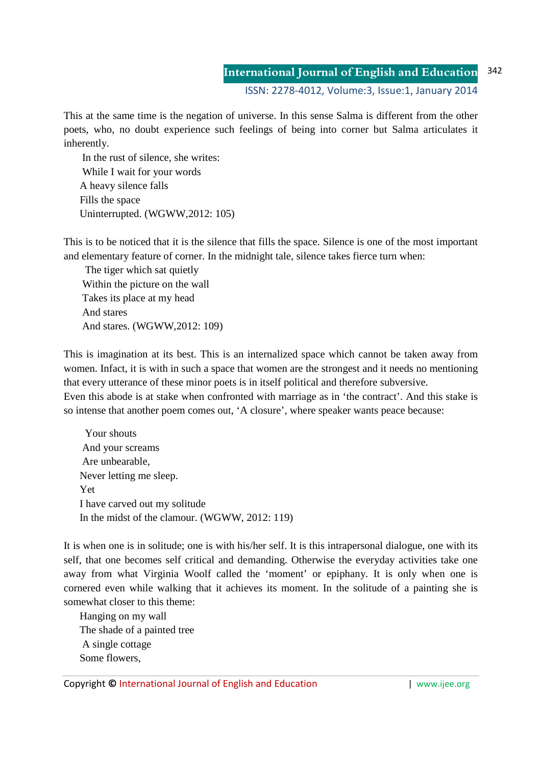### **International Journal of English and Education** 342

ISSN: 2278-4012, Volume:3, Issue:1, January 2014

This at the same time is the negation of universe. In this sense Salma is different from the other poets, who, no doubt experience such feelings of being into corner but Salma articulates it inherently.

 In the rust of silence, she writes: While I wait for your words A heavy silence falls Fills the space Uninterrupted. (WGWW,2012: 105)

This is to be noticed that it is the silence that fills the space. Silence is one of the most important and elementary feature of corner. In the midnight tale, silence takes fierce turn when:

 The tiger which sat quietly Within the picture on the wall Takes its place at my head And stares And stares. (WGWW,2012: 109)

This is imagination at its best. This is an internalized space which cannot be taken away from women. Infact, it is with in such a space that women are the strongest and it needs no mentioning that every utterance of these minor poets is in itself political and therefore subversive. Even this abode is at stake when confronted with marriage as in 'the contract'. And this stake is so intense that another poem comes out, 'A closure', where speaker wants peace because:

 Your shouts And your screams Are unbearable, Never letting me sleep. Yet I have carved out my solitude In the midst of the clamour. (WGWW, 2012: 119)

It is when one is in solitude; one is with his/her self. It is this intrapersonal dialogue, one with its self, that one becomes self critical and demanding. Otherwise the everyday activities take one away from what Virginia Woolf called the 'moment' or epiphany. It is only when one is cornered even while walking that it achieves its moment. In the solitude of a painting she is somewhat closer to this theme:

 Hanging on my wall The shade of a painted tree A single cottage Some flowers,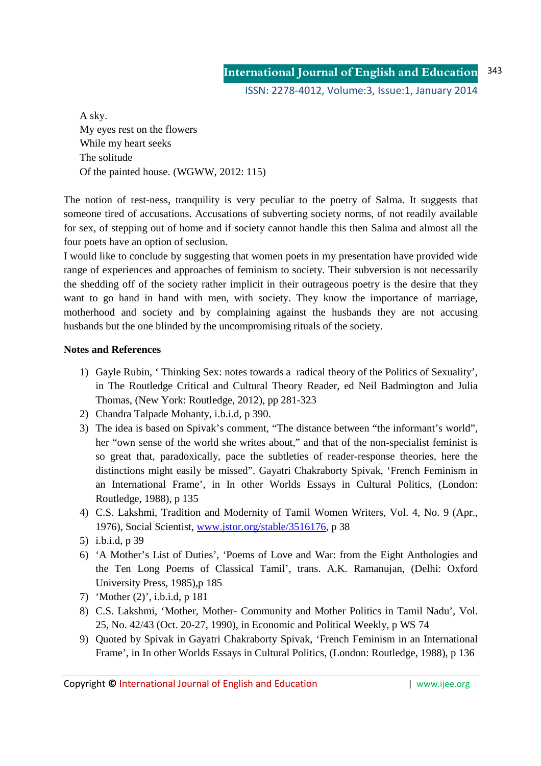A sky. My eyes rest on the flowers While my heart seeks The solitude Of the painted house. (WGWW, 2012: 115)

The notion of rest-ness, tranquility is very peculiar to the poetry of Salma. It suggests that someone tired of accusations. Accusations of subverting society norms, of not readily available for sex, of stepping out of home and if society cannot handle this then Salma and almost all the four poets have an option of seclusion.

I would like to conclude by suggesting that women poets in my presentation have provided wide range of experiences and approaches of feminism to society. Their subversion is not necessarily the shedding off of the society rather implicit in their outrageous poetry is the desire that they want to go hand in hand with men, with society. They know the importance of marriage, motherhood and society and by complaining against the husbands they are not accusing husbands but the one blinded by the uncompromising rituals of the society.

## **Notes and References**

- 1) Gayle Rubin, ' Thinking Sex: notes towards a radical theory of the Politics of Sexuality', in The Routledge Critical and Cultural Theory Reader, ed Neil Badmington and Julia Thomas, (New York: Routledge, 2012), pp 281-323
- 2) Chandra Talpade Mohanty, i.b.i.d, p 390.
- 3) The idea is based on Spivak's comment, "The distance between "the informant's world", her "own sense of the world she writes about," and that of the non-specialist feminist is so great that, paradoxically, pace the subtleties of reader-response theories, here the distinctions might easily be missed". Gayatri Chakraborty Spivak, 'French Feminism in an International Frame', in In other Worlds Essays in Cultural Politics, (London: Routledge, 1988), p 135
- 4) C.S. Lakshmi, Tradition and Modernity of Tamil Women Writers, Vol. 4, No. 9 (Apr., 1976), Social Scientist, www.jstor.org/stable/3516176, p 38
- 5) i.b.i.d, p 39
- 6) 'A Mother's List of Duties', 'Poems of Love and War: from the Eight Anthologies and the Ten Long Poems of Classical Tamil', trans. A.K. Ramanujan, (Delhi: Oxford University Press, 1985),p 185
- 7) 'Mother (2)', i.b.i.d, p 181
- 8) C.S. Lakshmi, 'Mother, Mother- Community and Mother Politics in Tamil Nadu', Vol. 25, No. 42/43 (Oct. 20-27, 1990), in Economic and Political Weekly, p WS 74
- 9) Quoted by Spivak in Gayatri Chakraborty Spivak, 'French Feminism in an International Frame', in In other Worlds Essays in Cultural Politics, (London: Routledge, 1988), p 136